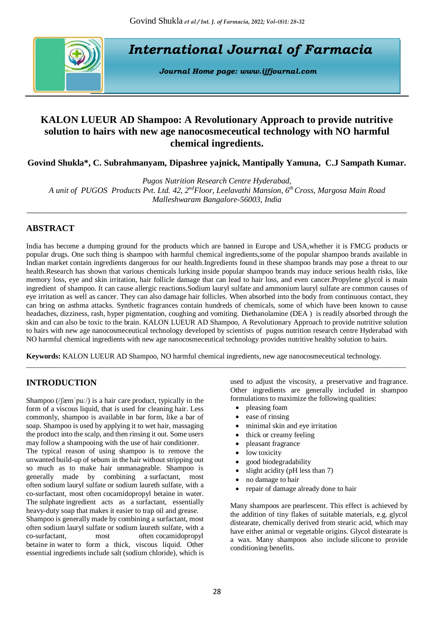

*International Journal of Farmacia*

*Journal Home page: [www.ijfjournal.com](http://www.ijfjournal.com/)*

# **KALON LUEUR AD Shampoo: A Revolutionary Approach to provide nutritive solution to hairs with new age nanocosmeceutical technology with NO harmful chemical ingredients.**

**Govind Shukla\*, C. Subrahmanyam, Dipashree yajnick, Mantipally Yamuna, C.J Sampath Kumar.**

*Pugos Nutrition Research Centre Hyderabad, A unit of PUGOS Products Pvt. Ltd. 42, 2ndFloor, Leelavathi Mansion, 6th Cross, Margosa Main Road Malleshwaram Bangalore-56003, India*

*\_\_\_\_\_\_\_\_\_\_\_\_\_\_\_\_\_\_\_\_\_\_\_\_\_\_\_\_\_\_\_\_\_\_\_\_\_\_\_\_\_\_\_\_\_\_\_\_\_\_\_\_\_\_\_\_\_\_\_\_\_\_\_\_\_\_\_\_\_\_\_\_\_\_\_\_\_\_\_\_\_\_\_\_\_\_*

# **ABSTRACT**

India has become a dumping ground for the products which are banned in Europe and USA,whether it is FMCG products or popular drugs. One such thing is shampoo with harmful chemical ingredients,some of the popular shampoo brands available in Indian market contain ingredients dangerous for our health.Ingredients found in these shampoo brands may pose a threat to our health.Research has shown that various chemicals lurking inside popular shampoo brands may induce serious health risks, like memory loss, eye and skin irritation, hair follicle damage that can lead to hair loss, and even cancer. Propylene glycol is main ingredient of shampoo. It can cause allergic reactions.Sodium lauryl sulfate and ammonium lauryl sulfate are common causes of eye irritation as well as cancer. They can also damage hair follicles. When absorbed into the body from continuous contact, they can bring on asthma attacks. Synthetic fragrances contain hundreds of chemicals, some of which have been known to cause headaches, dizziness, rash, hyper pigmentation, coughing and vomiting. Diethanolamine (DEA ) is readily absorbed through the skin and can also be toxic to the brain. KALON LUEUR AD Shampoo, A Revolutionary Approach to provide nutritive solution to hairs with new age nanocosmeceutical technology developed by scientists of pugos nutrition research centre Hyderabad with NO harmful chemical ingredients with new age nanocosmeceutical technology provides nutritive healthy solution to hairs.

**Keywords:** KALON LUEUR AD Shampoo, NO harmful chemical ingredients, new age nanocosmeceutical technology.

\_\_\_\_\_\_\_\_\_\_\_\_\_\_\_\_\_\_\_\_\_\_\_\_\_\_\_\_\_\_\_\_\_\_\_\_\_\_\_\_\_\_\_\_\_\_\_\_\_\_\_\_\_\_\_\_\_\_\_\_\_\_\_\_\_\_\_\_\_\_\_\_\_\_\_\_\_\_\_\_\_\_\_\_\_\_\_\_\_\_\_\_\_\_\_\_\_\_\_\_\_\_\_

# **INTRODUCTION**

Shampoo [\(/ʃæmˈpuː/\)](https://en.wikipedia.org/wiki/Help:IPA/English) is a [hair care](https://en.wikipedia.org/wiki/Hair_care) product, typically in the form of a [viscous](https://en.wikipedia.org/wiki/Viscosity) liquid, that is used for cleaning [hair.](https://en.wikipedia.org/wiki/Hair) Less commonly, shampoo is available in bar form, like a bar of soap. Shampoo is used by applying it to wet hair, massaging the product into the scalp, and then rinsing it out. Some users may follow a shampooing with the use of [hair conditioner.](https://en.wikipedia.org/wiki/Hair_conditioner)

The typical reason of using shampoo is to remove the unwanted build-up of [sebum](https://en.wikipedia.org/wiki/Sebum) in the hair without stripping out so much as to make hair unmanageable. Shampoo is generally made by combining a [surfactant,](https://en.wikipedia.org/wiki/Surfactant) most often [sodium lauryl sulfate](https://en.wikipedia.org/wiki/Sodium_lauryl_sulfate) or [sodium laureth sulfate,](https://en.wikipedia.org/wiki/Sodium_laureth_sulfate) with a co-surfactant, most often [cocamidopropyl betaine](https://en.wikipedia.org/wiki/Cocamidopropyl_betaine) in water. The [sulphate](https://en.wikipedia.org/wiki/Sulfate) ingredient acts as a [surfactant,](https://en.wikipedia.org/wiki/Surfactant) essentially heavy-duty [soap](https://en.wikipedia.org/wiki/Soap) that makes it easier to trap oil and grease.

Shampoo is generally made by combining a [surfactant,](https://en.wikipedia.org/wiki/Surfactant) most often [sodium lauryl sulfate](https://en.wikipedia.org/wiki/Sodium_lauryl_sulfate) or [sodium laureth sulfate,](https://en.wikipedia.org/wiki/Sodium_laureth_sulfate) with a co-surfactant, most often [cocamidopropyl](https://en.wikipedia.org/wiki/Cocamidopropyl_betaine)  [betaine](https://en.wikipedia.org/wiki/Cocamidopropyl_betaine) in [water](https://en.wikipedia.org/wiki/Water) to form a thick, viscous liquid. Other essential ingredients include salt [\(sodium chloride\)](https://en.wikipedia.org/wiki/Sodium_chloride), which is used to adjust the viscosity, a [preservative](https://en.wikipedia.org/wiki/Preservative) and [fragrance.](https://en.wikipedia.org/wiki/Fragrance) Other ingredients are generally included in shampoo formulations to maximize the following qualities:

- pleasing foam
- ease of rinsing
- minimal [skin](https://en.wikipedia.org/wiki/Human_skin) and [eye](https://en.wikipedia.org/wiki/Human_eye) [irritation](https://en.wikipedia.org/wiki/Irritation)
- thick or creamy feeling
- pleasant fragrance
- low [toxicity](https://en.wikipedia.org/wiki/Toxicity)
- good [biodegradability](https://en.wikipedia.org/wiki/Biodegradation)
- slight [acidity](https://en.wikipedia.org/wiki/Acid) [\(pH](https://en.wikipedia.org/wiki/PH) less than 7)
- no damage to hair
- repair of damage already done to hair

Many shampoos are [pearlescent.](https://en.wikipedia.org/wiki/Pearlescent) This effect is achieved by the addition of tiny flakes of suitable materials, e.g. [glycol](https://en.wikipedia.org/wiki/Glycol_distearate)  [distearate,](https://en.wikipedia.org/wiki/Glycol_distearate) chemically derived from [stearic acid,](https://en.wikipedia.org/wiki/Stearic_acid) which may have either animal or vegetable origins. Glycol distearate is a wax. Many shampoos also include [silicone](https://en.wikipedia.org/wiki/Silicone) to provide conditioning benefits.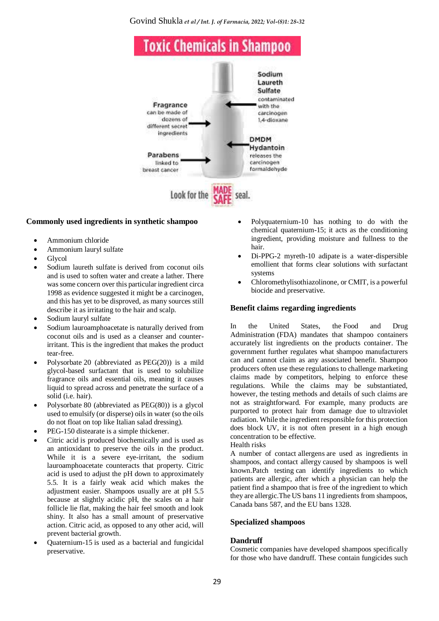Govind Shukla *et al / Int. J. of Farmacia, 2022; Vol-(8)1: 28-32*



#### **Commonly used ingredients in synthetic shampoo**

- [Ammonium chloride](https://en.wikipedia.org/wiki/Ammonium_chloride)
- [Ammonium lauryl sulfate](https://en.wikipedia.org/wiki/Ammonium_lauryl_sulfate)
- [Glycol](https://en.wikipedia.org/wiki/Glycol)
- [Sodium laureth sulfate](https://en.wikipedia.org/wiki/Sodium_laureth_sulfate) is derived from coconut oils and is used to soften water and create a lather. There was some concern over this particular ingredient circa 1998 as evidence suggested it might be a carcinogen, and this has yet to be disproved, as many sources still describe it as irritating to the hair and scalp.
- [Sodium lauryl sulfate](https://en.wikipedia.org/wiki/Sodium_lauryl_sulfate)
- [Sodium lauroamphoacetate](https://en.wikipedia.org/wiki/Sodium_lauroamphoacetate) is naturally derived from coconut oils and is used as a cleanser and counterirritant. This is the ingredient that makes the product tear-free.
- [Polysorbate](https://en.wikipedia.org/wiki/Polysorbate) 20 (abbreviated as [PEG\(20\)\)](https://en.wikipedia.org/wiki/Polysorbate_20) is a mild glycol-based surfactant that is used to solubilize fragrance oils and essential oils, meaning it causes liquid to spread across and penetrate the surface of a solid (i.e. hair).
- [Polysorbate](https://en.wikipedia.org/wiki/Polysorbate) 80 (abbreviated as [PEG\(80\)\)](https://en.wikipedia.org/wiki/Polysorbate_80) is a glycol used to emulsify (or disperse) oils in water (so the oils do not float on top like Italian salad dressing).
- PEG-150 distearate is a simple thickener.
- [Citric acid](https://en.wikipedia.org/wiki/Citric_acid) is produced biochemically and is used as an antioxidant to preserve the oils in the product. While it is a severe eve-irritant, the sodium lauroamphoacetate counteracts that property. Citric acid is used to adjust the pH down to approximately 5.5. It is a fairly weak acid which makes the adjustment easier. Shampoos usually are at pH 5.5 because at slightly acidic pH, the scales on a hair follicle lie flat, making the hair feel smooth and look shiny. It also has a small amount of preservative action. Citric acid, as opposed to any other acid, will prevent bacterial growth.
- [Quaternium-15](https://en.wikipedia.org/wiki/Quaternium-15) is used as a bacterial and fungicidal preservative.
- [Polyquaternium-](https://en.wikipedia.org/wiki/Polyquaternium)10 has nothing to do with the chemical quaternium-15; it acts as the conditioning ingredient, providing moisture and fullness to the hair.
- [Di-PPG-2 myreth-10 adipate](https://en.wikipedia.org/w/index.php?title=Di-PPG-2_myreth-10_adipate&action=edit&redlink=1) is a water-dispersible emollient that forms clear solutions with surfactant systems
- [Chloromethylisothiazolinone,](https://en.wikipedia.org/wiki/Chloromethylisothiazolinone) or CMIT, is a powerful [biocide](https://en.wikipedia.org/wiki/Biocide) and preservative.

## **Benefit claims regarding ingredients**

In the United States, the [Food and Drug](https://en.wikipedia.org/wiki/Food_and_Drug_Administration)  [Administration](https://en.wikipedia.org/wiki/Food_and_Drug_Administration) (FDA) mandates that shampoo containers accurately list ingredients on the products container. The government further regulates what shampoo manufacturers can and cannot claim as any associated benefit. Shampoo producers often use these regulations to challenge marketing claims made by competitors, helping to enforce these regulations. While the claims may be substantiated, however, the testing methods and details of such claims are not as straightforward. For example, many products are purported to protect hair from damage due to [ultraviolet](https://en.wikipedia.org/wiki/Ultraviolet_radiation)  [radiation.](https://en.wikipedia.org/wiki/Ultraviolet_radiation) While the ingredient responsible for this protection does block UV, it is not often present in a high enough concentration to be effective.



A number of contact [allergens](https://en.wikipedia.org/wiki/Allergen) are used as ingredients in shampoos, and [contact allergy](https://en.wikipedia.org/wiki/Contact_allergy) caused by shampoos is well known[.Patch testing](https://en.wikipedia.org/wiki/Patch_test) can identify ingredients to which patients are allergic, after which a physician can help the patient find a shampoo that is free of the ingredient to which they are allergic.The US bans 11 ingredients from shampoos, Canada bans 587, and the EU bans 1328.

#### **Specialized shampoos**

#### **Dandruff**

Cosmetic companies have developed shampoos specifically for those who have [dandruff.](https://en.wikipedia.org/wiki/Dandruff) These contain [fungicides](https://en.wikipedia.org/wiki/Fungicide) such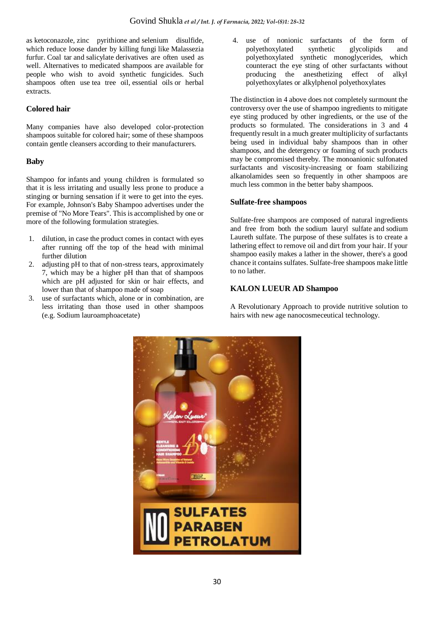as [ketoconazole,](https://en.wikipedia.org/wiki/Ketoconazole) [zinc pyrithione](https://en.wikipedia.org/wiki/Zinc_pyrithione) and [selenium disulfide,](https://en.wikipedia.org/wiki/Selenium_disulfide) which reduce loose dander by killing [fungi](https://en.wikipedia.org/wiki/Fungi) like [Malassezia](https://en.wikipedia.org/wiki/Malassezia_furfur)  [furfur.](https://en.wikipedia.org/wiki/Malassezia_furfur) [Coal tar](https://en.wikipedia.org/wiki/Coal_tar) and [salicylate](https://en.wikipedia.org/wiki/Salicylic_acid) derivatives are often used as well. Alternatives to medicated shampoos are available for people who wish to avoid synthetic fungicides. Such shampoos often use [tea tree oil,](https://en.wikipedia.org/wiki/Tea_tree_oil) [essential oils](https://en.wikipedia.org/wiki/Essential_oil) or herbal extracts.

# **Colored hair**

Many companies have also developed color-protection shampoos suitable for colored hair; some of these shampoos contain gentle cleansers according to their manufacturers.

## **Baby**

Shampoo for [infants](https://en.wikipedia.org/wiki/Infant) and young children is formulated so that it is less irritating and usually less prone to produce a stinging or burning sensation if it were to get into the eyes. For example, [Johnson's Baby](https://en.wikipedia.org/wiki/Johnson%27s_baby) Shampoo advertises under the premise of "No More Tears". This is accomplished by one or more of the following formulation strategies.

- 1. dilution, in case the product comes in contact with eyes after running off the top of the head with minimal further dilution
- adjusting pH to that of non-stress tears, approximately 7, which may be a higher pH than that of shampoos which are pH adjusted for skin or hair effects, and lower than that of shampoo made of soap
- 3. use of surfactants which, alone or in combination, are less irritating than those used in other shampoos (e.g. [Sodium lauroamphoacetate\)](https://en.wikipedia.org/wiki/Sodium_lauroamphoacetate)

4. use of nonionic surfactants of the form of polyethoxylated synthetic glycolipids and polyethoxylated synthetic monoglycerides, which counteract the eye sting of other surfactants without producing the anesthetizing effect of alkyl polyethoxylates or alkylphenol polyethoxylates

The distinction in 4 above does not completely surmount the controversy over the use of shampoo ingredients to mitigate eye sting produced by other ingredients, or the use of the products so formulated. The considerations in 3 and 4 frequently result in a much greater multiplicity of surfactants being used in individual baby shampoos than in other shampoos, and the detergency or foaming of such products may be compromised thereby. The monoanionic sulfonated surfactants and viscosity-increasing or foam stabilizing alkanolamides seen so frequently in other shampoos are much less common in the better baby shampoos.

#### **Sulfate-free shampoos**

Sulfate-free shampoos are composed of natural ingredients and free from both the [sodium lauryl sulfate](https://en.wikipedia.org/wiki/Sodium_lauryl_sulfate) and [sodium](https://en.wikipedia.org/wiki/Sodium_laureth_sulfate)  [Laureth sulfate.](https://en.wikipedia.org/wiki/Sodium_laureth_sulfate) The purpose of these sulfates is to create a lathering effect to remove oil and dirt from your hair. If your shampoo easily makes a lather in the shower, there's a good chance it contains sulfates. Sulfate-free shampoos make little to no lather.

## **KALON LUEUR AD Shampoo**

A Revolutionary Approach to provide nutritive solution to hairs with new age nanocosmeceutical technology.

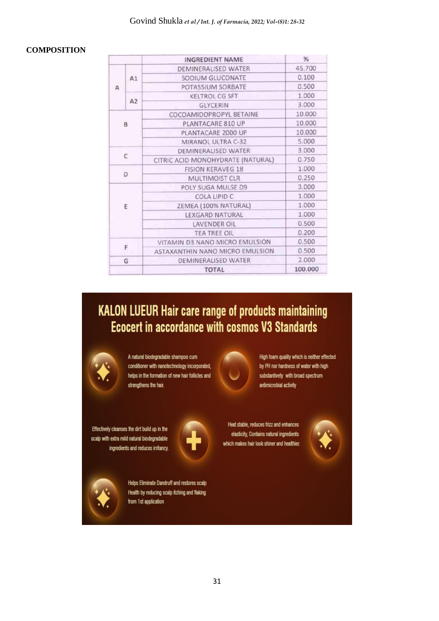# **COMPOSITION**

|   |    | INGREDIENT NAME                   | $\frac{9}{6}$ |
|---|----|-----------------------------------|---------------|
| А | A1 | DEMINERALISED WATER               | 45.700        |
|   |    | SODIUM GLUCONATE                  | 0.100         |
|   |    | POTASSIUM SORBATE                 | 0.500         |
|   | A2 | <b>KELTROL CG SFT</b>             | 1.000         |
|   |    | GLYCERIN                          | 3.000         |
| B |    | COCOAMIDOPROPYL BETAINE           | 10.000        |
|   |    | PLANTACARE 810 UP                 | 10.000        |
|   |    | PLANTACARE 2000 UP                | 10.000        |
|   |    | MIRANOL ULTRA C-32                | 5.000         |
| C |    | DEMINERALISED WATER               | 3.000         |
|   |    | CITRIC ACID MONOHYDRATE (NATURAL) | 0.750         |
| D |    | <b>FISION KERAVEG 18</b>          | 1.000         |
|   |    | MULTIMOIST CLR                    | 0.250         |
| E |    | POLY SUGA MULSE D9                | 3.000         |
|   |    | COLA LIPID C                      | 1.000         |
|   |    | ZEMEA (100% NATURAL)              | 1.000         |
|   |    | <b>LEXGARD NATURAL</b>            | 1.000         |
|   |    | LAVENDER OIL                      | 0.500         |
|   |    | <b>TEA TREE OIL</b>               | 0.200         |
|   |    | VITAMIN D3 NANO MICRO EMULSION    | 0.500         |
| F |    | ASTAXANTHIN NANO MICRO EMULSION   | 0.500         |
|   | G  | DEMINERALISED WATER               | 2.000         |
|   |    | <b>TOTAL</b>                      | 100,000       |

# **KALON LUEUR Hair care range of products maintaining Ecocert in accordance with cosmos V3 Standards**



A natural biodegradable shampoo cum conditioner with nanotechnology incorporated, helps in the formation of new hair follicles and strengthens the hair.



High foam quality which is neither effected by PH nor hardness of water with high substantivety with broad spectrum antimicrobial activity

Effectively cleanses the dirt build up in the scalp with extra mild natural biodegradable ingredients and reduces irritancy.



Heat stable, reduces frizz and enhances elasticity, Contains natural ingredients which makes hair look shiner and healthier.





Helps Eliminate Dandruff and restores scalp Health by reducing scalp itching and flaking from 1st application